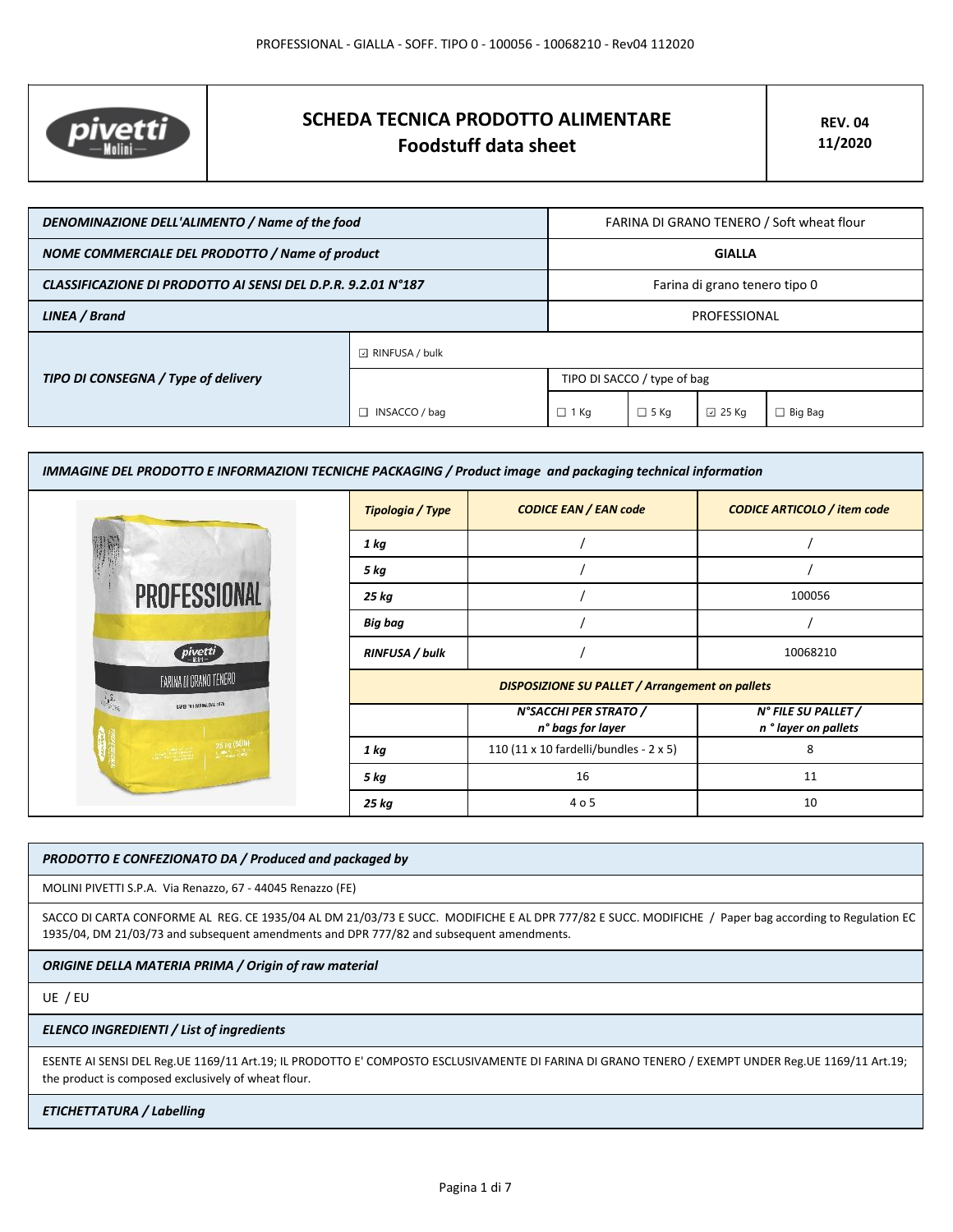

# **SCHEDA TECNICA PRODOTTO ALIMENTARE Foodstuff data sheet**

| DENOMINAZIONE DELL'ALIMENTO / Name of the food               |                             | FARINA DI GRANO TENERO / Soft wheat flour |             |                 |                |
|--------------------------------------------------------------|-----------------------------|-------------------------------------------|-------------|-----------------|----------------|
| NOME COMMERCIALE DEL PRODOTTO / Name of product              |                             | <b>GIALLA</b>                             |             |                 |                |
| CLASSIFICAZIONE DI PRODOTTO AI SENSI DEL D.P.R. 9.2.01 N°187 |                             | Farina di grano tenero tipo 0             |             |                 |                |
| LINEA / Brand                                                |                             | PROFESSIONAL                              |             |                 |                |
|                                                              | $\boxdot$ RINFUSA / bulk    |                                           |             |                 |                |
| TIPO DI CONSEGNA / Type of delivery                          | TIPO DI SACCO / type of bag |                                           |             |                 |                |
|                                                              | INSACCO / bag               | $\Box$ 1 Kg                               | $\Box$ 5 Kg | $\boxdot$ 25 Kg | $\Box$ Big Bag |

| IMMAGINE DEL PRODOTTO E INFORMAZIONI TECNICHE PACKAGING / Product image and packaging technical information |                         |                                                        |                                             |
|-------------------------------------------------------------------------------------------------------------|-------------------------|--------------------------------------------------------|---------------------------------------------|
|                                                                                                             | <b>Tipologia / Type</b> | <b>CODICE EAN / EAN code</b>                           | <b>CODICE ARTICOLO / item code</b>          |
|                                                                                                             | 1 kg                    |                                                        |                                             |
|                                                                                                             | 5 kg                    |                                                        |                                             |
| <b>PROFESSIONAL</b>                                                                                         | 25 kg                   |                                                        | 100056                                      |
|                                                                                                             | <b>Big bag</b>          |                                                        |                                             |
| pivetti                                                                                                     | RINFUSA / bulk          |                                                        | 10068210                                    |
| FARINA DI GRANO TENERO                                                                                      |                         | <b>DISPOSIZIONE SU PALLET / Arrangement on pallets</b> |                                             |
| 情<br><b>SVET TI REINLINE IFT</b>                                                                            |                         | N°SACCHI PER STRATO /<br>n° bags for layer             | N° FILE SU PALLET /<br>n ° layer on pallets |
|                                                                                                             | 1 kg                    | 110 (11 x 10 fardelli/bundles - 2 x 5)                 | 8                                           |
|                                                                                                             | 5 kg                    | 16                                                     | 11                                          |
|                                                                                                             | 25 kg                   | 4 o 5                                                  | 10                                          |

## *PRODOTTO E CONFEZIONATO DA / Produced and packaged by*

MOLINI PIVETTI S.P.A. Via Renazzo, 67 - 44045 Renazzo (FE)

SACCO DI CARTA CONFORME AL REG. CE 1935/04 AL DM 21/03/73 E SUCC. MODIFICHE E AL DPR 777/82 E SUCC. MODIFICHE / Paper bag according to Regulation EC 1935/04, DM 21/03/73 and subsequent amendments and DPR 777/82 and subsequent amendments.

## *ORIGINE DELLA MATERIA PRIMA / Origin of raw material*

UE / EU

#### *ELENCO INGREDIENTI / List of ingredients*

ESENTE AI SENSI DEL Reg.UE 1169/11 Art.19; IL PRODOTTO E' COMPOSTO ESCLUSIVAMENTE DI FARINA DI GRANO TENERO / EXEMPT UNDER Reg.UE 1169/11 Art.19; the product is composed exclusively of wheat flour.

## *ETICHETTATURA / Labelling*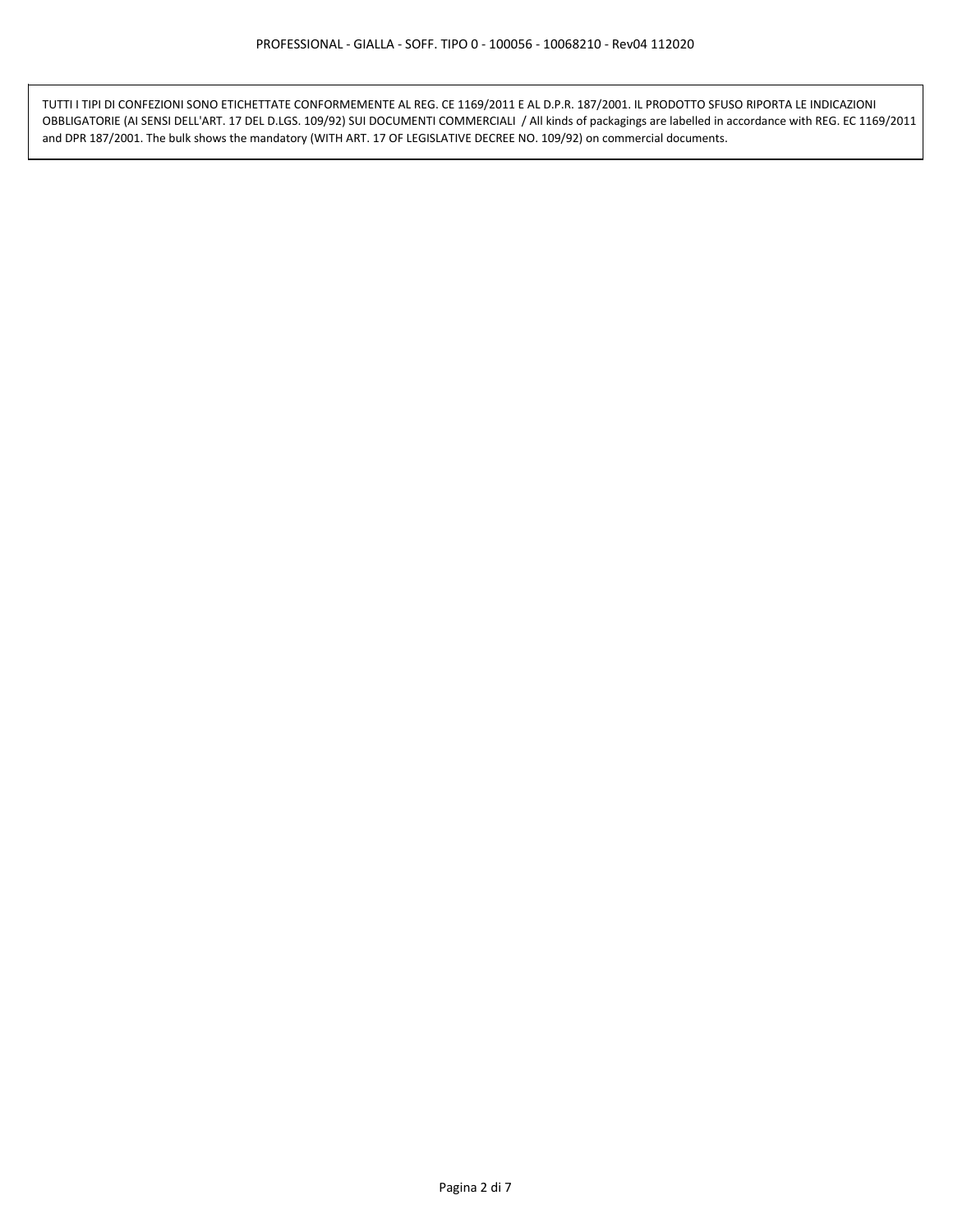TUTTI I TIPI DI CONFEZIONI SONO ETICHETTATE CONFORMEMENTE AL REG. CE 1169/2011 E AL D.P.R. 187/2001. IL PRODOTTO SFUSO RIPORTA LE INDICAZIONI OBBLIGATORIE (AI SENSI DELL'ART. 17 DEL D.LGS. 109/92) SUI DOCUMENTI COMMERCIALI / All kinds of packagings are labelled in accordance with REG. EC 1169/2011 and DPR 187/2001. The bulk shows the mandatory (WITH ART. 17 OF LEGISLATIVE DECREE NO. 109/92) on commercial documents.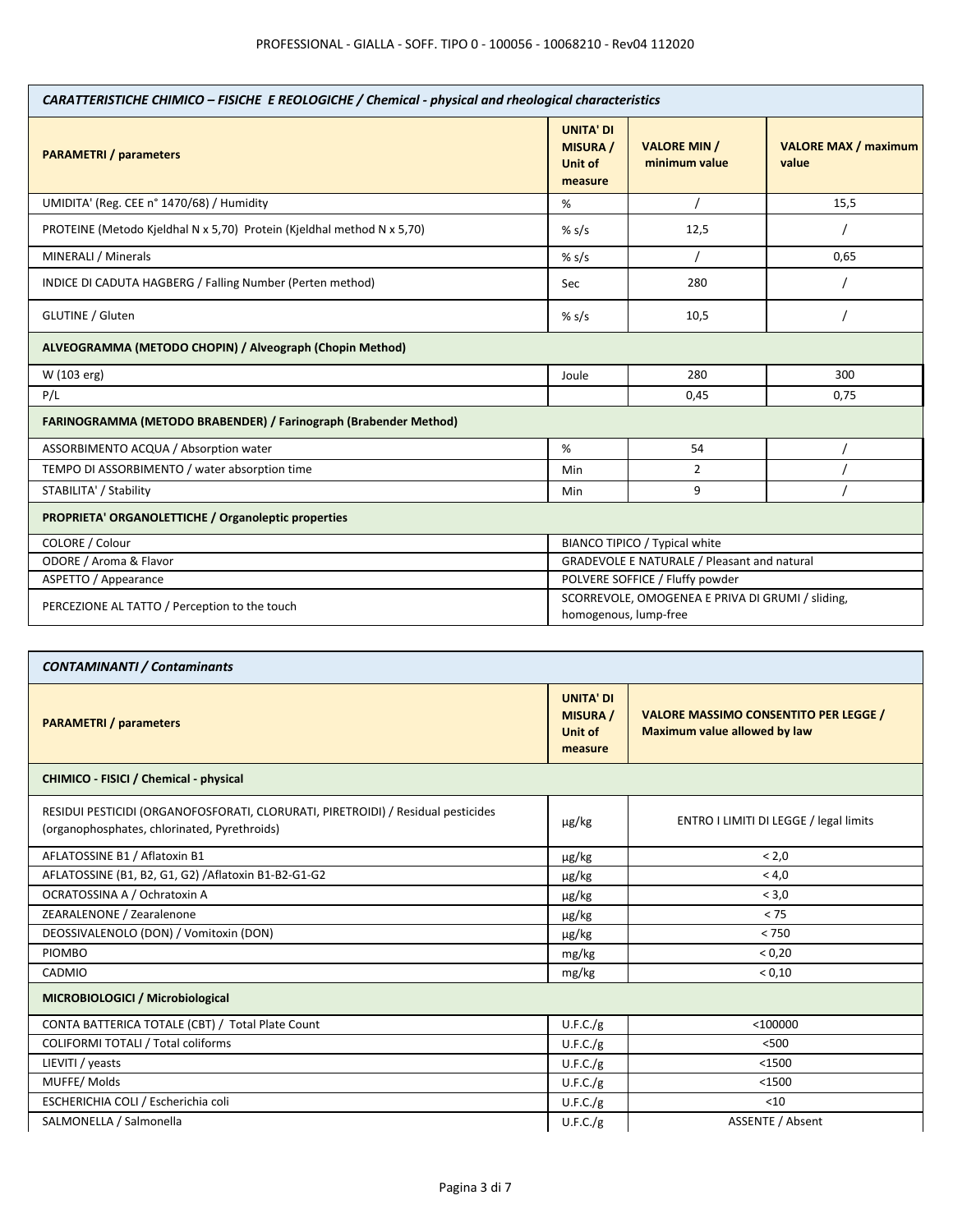| CARATTERISTICHE CHIMICO - FISICHE E REOLOGICHE / Chemical - physical and rheological characteristics |                                                                           |                                      |                                      |
|------------------------------------------------------------------------------------------------------|---------------------------------------------------------------------------|--------------------------------------|--------------------------------------|
| <b>PARAMETRI</b> / parameters                                                                        | <b>UNITA' DI</b><br><b>MISURA /</b><br><b>Unit of</b><br>measure          | <b>VALORE MIN /</b><br>minimum value | <b>VALORE MAX / maximum</b><br>value |
| UMIDITA' (Reg. CEE n° 1470/68) / Humidity                                                            | %                                                                         |                                      | 15,5                                 |
| PROTEINE (Metodo Kjeldhal N x 5,70) Protein (Kjeldhal method N x 5,70)                               | % $s/s$                                                                   | 12,5                                 |                                      |
| MINERALI / Minerals                                                                                  | % s/s                                                                     |                                      | 0,65                                 |
| INDICE DI CADUTA HAGBERG / Falling Number (Perten method)                                            | Sec                                                                       | 280                                  |                                      |
| <b>GLUTINE / Gluten</b>                                                                              | % $s/s$                                                                   | 10,5                                 |                                      |
| ALVEOGRAMMA (METODO CHOPIN) / Alveograph (Chopin Method)                                             |                                                                           |                                      |                                      |
| W (103 erg)                                                                                          | Joule                                                                     | 280                                  | 300                                  |
| P/L                                                                                                  |                                                                           | 0,45                                 | 0,75                                 |
| FARINOGRAMMA (METODO BRABENDER) / Farinograph (Brabender Method)                                     |                                                                           |                                      |                                      |
| ASSORBIMENTO ACQUA / Absorption water                                                                | %                                                                         | 54                                   |                                      |
| TEMPO DI ASSORBIMENTO / water absorption time                                                        | Min                                                                       | 2                                    |                                      |
| STABILITA' / Stability                                                                               | Min                                                                       | 9                                    |                                      |
| <b>PROPRIETA' ORGANOLETTICHE / Organoleptic properties</b>                                           |                                                                           |                                      |                                      |
| COLORE / Colour                                                                                      | BIANCO TIPICO / Typical white                                             |                                      |                                      |
| ODORE / Aroma & Flavor                                                                               | GRADEVOLE E NATURALE / Pleasant and natural                               |                                      |                                      |
| ASPETTO / Appearance                                                                                 | POLVERE SOFFICE / Fluffy powder                                           |                                      |                                      |
| PERCEZIONE AL TATTO / Perception to the touch                                                        | SCORREVOLE, OMOGENEA E PRIVA DI GRUMI / sliding,<br>homogenous, lump-free |                                      |                                      |

| <b>CONTAMINANTI / Contaminants</b>                                                                                               |                                                           |                                                                                     |  |  |
|----------------------------------------------------------------------------------------------------------------------------------|-----------------------------------------------------------|-------------------------------------------------------------------------------------|--|--|
| <b>PARAMETRI</b> / parameters                                                                                                    | <b>UNITA' DI</b><br><b>MISURA</b> /<br>Unit of<br>measure | <b>VALORE MASSIMO CONSENTITO PER LEGGE /</b><br><b>Maximum value allowed by law</b> |  |  |
| CHIMICO - FISICI / Chemical - physical                                                                                           |                                                           |                                                                                     |  |  |
| RESIDUI PESTICIDI (ORGANOFOSFORATI, CLORURATI, PIRETROIDI) / Residual pesticides<br>(organophosphates, chlorinated, Pyrethroids) | $\mu$ g/kg                                                | ENTRO I LIMITI DI LEGGE / legal limits                                              |  |  |
| AFLATOSSINE B1 / Aflatoxin B1                                                                                                    | $\mu$ g/kg                                                | < 2.0                                                                               |  |  |
| AFLATOSSINE (B1, B2, G1, G2) / Aflatoxin B1-B2-G1-G2                                                                             | $\mu$ g/kg                                                | < 4.0                                                                               |  |  |
| OCRATOSSINA A / Ochratoxin A                                                                                                     | µg/kg                                                     | < 3.0                                                                               |  |  |
| ZEARALENONE / Zearalenone                                                                                                        | $\mu$ g/kg                                                | < 75                                                                                |  |  |
| DEOSSIVALENOLO (DON) / Vomitoxin (DON)                                                                                           | µg/kg                                                     | < 750                                                                               |  |  |
| <b>PIOMBO</b>                                                                                                                    | mg/kg                                                     | < 0.20                                                                              |  |  |
| CADMIO                                                                                                                           | mg/kg                                                     | < 0.10                                                                              |  |  |
| MICROBIOLOGICI / Microbiological                                                                                                 |                                                           |                                                                                     |  |  |
| CONTA BATTERICA TOTALE (CBT) / Total Plate Count                                                                                 | U.F.C./g                                                  | $<$ 100000                                                                          |  |  |
| COLIFORMI TOTALI / Total coliforms                                                                                               | U.F.C./g                                                  | < 500                                                                               |  |  |
| LIEVITI / yeasts                                                                                                                 | U.F.C./g                                                  | $<$ 1500                                                                            |  |  |
| MUFFE/Molds                                                                                                                      | U.F.C./g                                                  | $<$ 1500                                                                            |  |  |
| ESCHERICHIA COLI / Escherichia coli                                                                                              | U.F.C./g                                                  | $<$ 10                                                                              |  |  |
| SALMONELLA / Salmonella                                                                                                          | U.F.C./g                                                  | <b>ASSENTE / Absent</b>                                                             |  |  |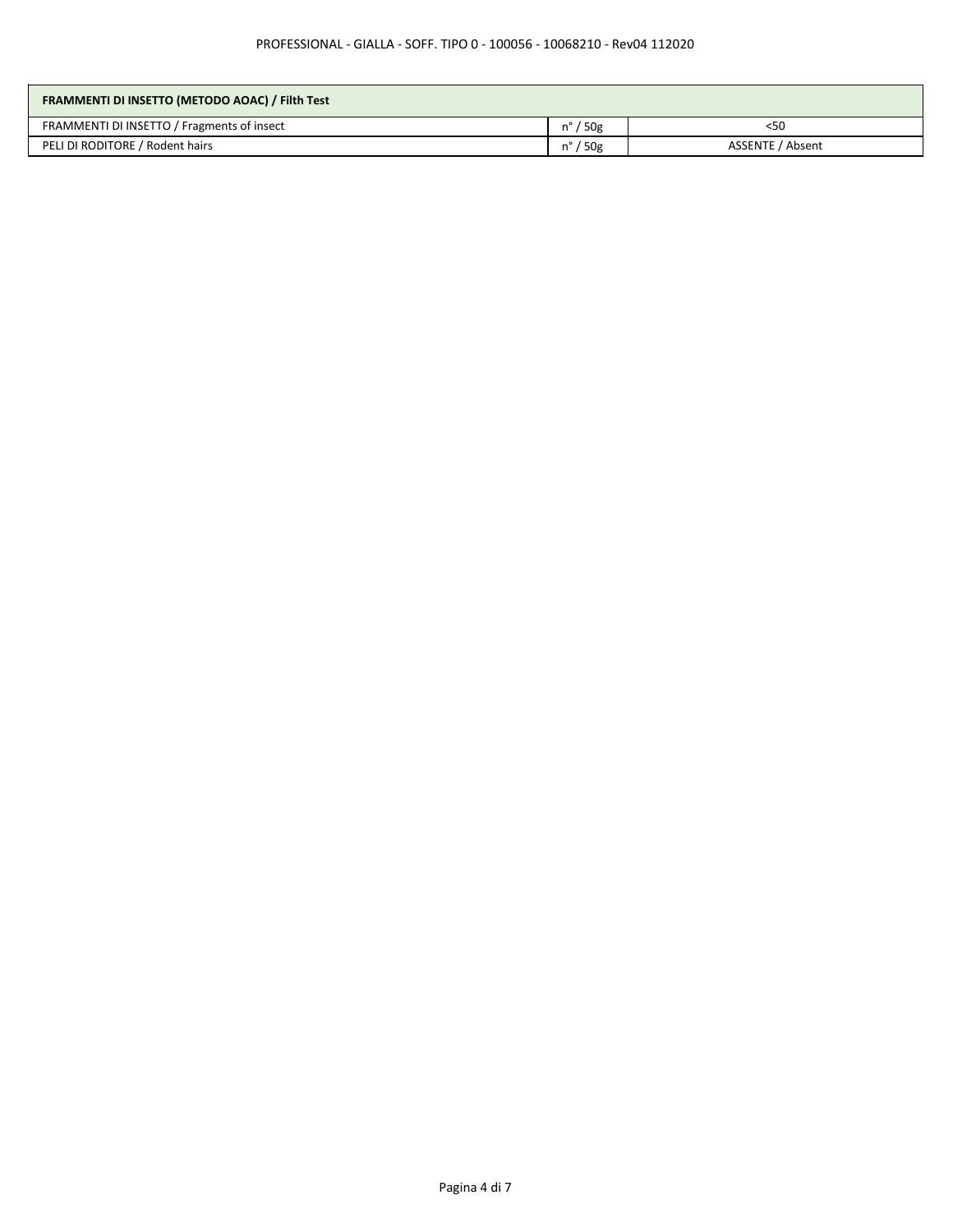| FRAMMENTI DI INSETTO (METODO AOAC) / Filth Test |                   |                  |
|-------------------------------------------------|-------------------|------------------|
| FRAMMENTI DI INSETTO / Fragments of insect      | $n^{\circ}$ / 50g | $<$ 50           |
| PELI DI RODITORE / Rodent hairs                 | $n^{\circ}$ / 50g | ASSENTE / Absent |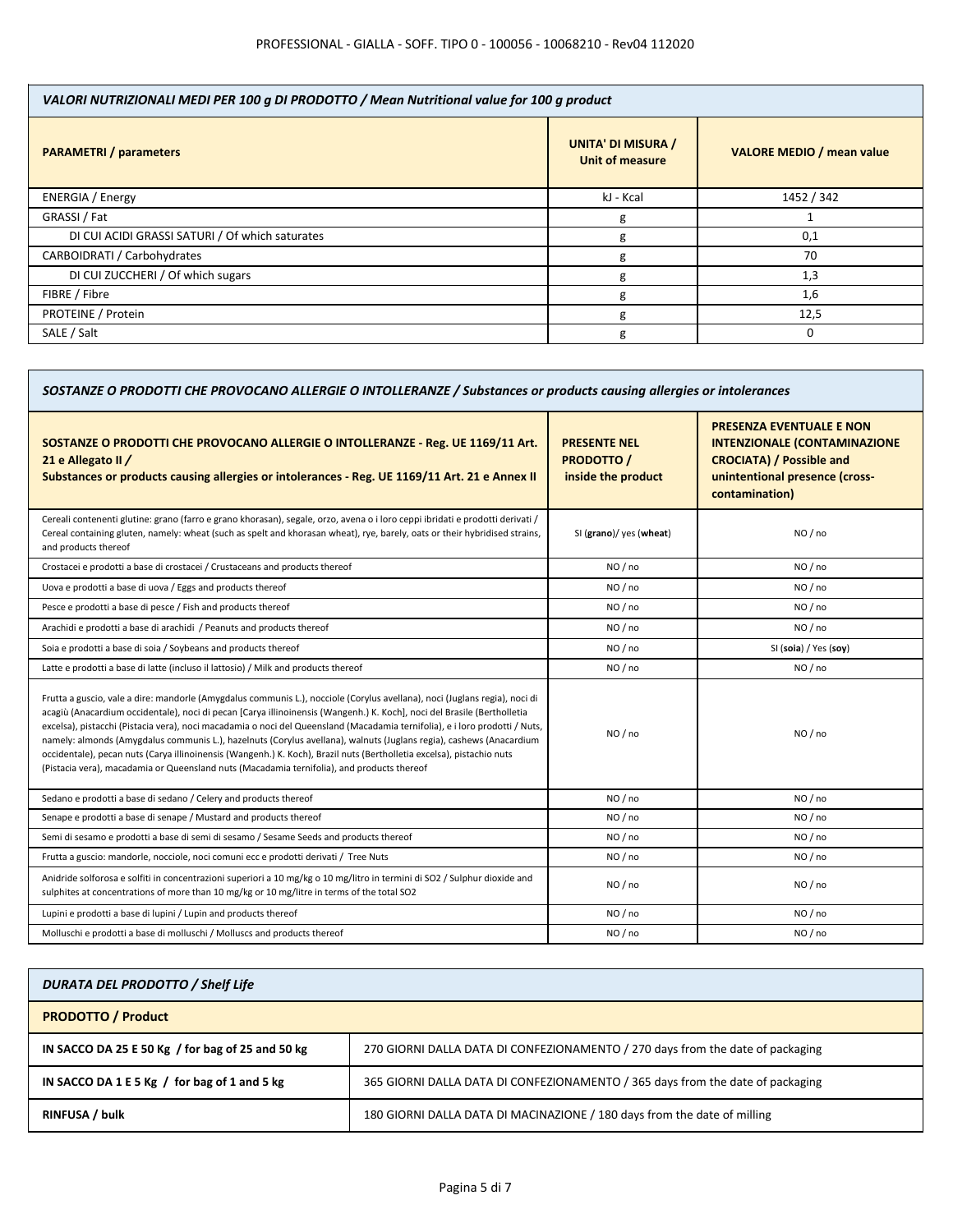| VALORI NUTRIZIONALI MEDI PER 100 g DI PRODOTTO / Mean Nutritional value for 100 g product |                                                     |                                  |  |
|-------------------------------------------------------------------------------------------|-----------------------------------------------------|----------------------------------|--|
| <b>PARAMETRI / parameters</b>                                                             | <b>UNITA' DI MISURA /</b><br><b>Unit of measure</b> | <b>VALORE MEDIO / mean value</b> |  |
| ENERGIA / Energy                                                                          | kJ - Kcal                                           | 1452 / 342                       |  |
| GRASSI / Fat                                                                              | g                                                   |                                  |  |
| DI CUI ACIDI GRASSI SATURI / Of which saturates                                           | g                                                   | 0,1                              |  |
| CARBOIDRATI / Carbohydrates                                                               | g                                                   | 70                               |  |
| DI CUI ZUCCHERI / Of which sugars                                                         | g                                                   | 1,3                              |  |
| FIBRE / Fibre                                                                             | g                                                   | 1,6                              |  |
| PROTEINE / Protein                                                                        | g                                                   | 12,5                             |  |
| SALE / Salt                                                                               | g                                                   | 0                                |  |

| SOSTANZE O PRODOTTI CHE PROVOCANO ALLERGIE O INTOLLERANZE / Substances or products causing allergies or intolerances                                                                                                                                                                                                                                                                                                                                                                                                                                                                                                                                                                                                               |                                                                |                                                                                                                                                               |
|------------------------------------------------------------------------------------------------------------------------------------------------------------------------------------------------------------------------------------------------------------------------------------------------------------------------------------------------------------------------------------------------------------------------------------------------------------------------------------------------------------------------------------------------------------------------------------------------------------------------------------------------------------------------------------------------------------------------------------|----------------------------------------------------------------|---------------------------------------------------------------------------------------------------------------------------------------------------------------|
| SOSTANZE O PRODOTTI CHE PROVOCANO ALLERGIE O INTOLLERANZE - Reg. UE 1169/11 Art.<br>21 e Allegato II /<br>Substances or products causing allergies or intolerances - Reg. UE 1169/11 Art. 21 e Annex II                                                                                                                                                                                                                                                                                                                                                                                                                                                                                                                            | <b>PRESENTE NEL</b><br><b>PRODOTTO /</b><br>inside the product | <b>PRESENZA EVENTUALE E NON</b><br><b>INTENZIONALE (CONTAMINAZIONE</b><br><b>CROCIATA) / Possible and</b><br>unintentional presence (cross-<br>contamination) |
| Cereali contenenti glutine: grano (farro e grano khorasan), segale, orzo, avena o i loro ceppi ibridati e prodotti derivati /<br>Cereal containing gluten, namely: wheat (such as spelt and khorasan wheat), rye, barely, oats or their hybridised strains,<br>and products thereof                                                                                                                                                                                                                                                                                                                                                                                                                                                | SI (grano)/ yes (wheat)                                        | NO / no                                                                                                                                                       |
| Crostacei e prodotti a base di crostacei / Crustaceans and products thereof                                                                                                                                                                                                                                                                                                                                                                                                                                                                                                                                                                                                                                                        | NO/no                                                          | NO / no                                                                                                                                                       |
| Uova e prodotti a base di uova / Eggs and products thereof                                                                                                                                                                                                                                                                                                                                                                                                                                                                                                                                                                                                                                                                         | NO/no                                                          | NO / no                                                                                                                                                       |
| Pesce e prodotti a base di pesce / Fish and products thereof                                                                                                                                                                                                                                                                                                                                                                                                                                                                                                                                                                                                                                                                       | NO/no                                                          | NO/no                                                                                                                                                         |
| Arachidi e prodotti a base di arachidi / Peanuts and products thereof                                                                                                                                                                                                                                                                                                                                                                                                                                                                                                                                                                                                                                                              | NO/no                                                          | NO / no                                                                                                                                                       |
| Soia e prodotti a base di soia / Soybeans and products thereof                                                                                                                                                                                                                                                                                                                                                                                                                                                                                                                                                                                                                                                                     | NO/no                                                          | SI (soia) / Yes (soy)                                                                                                                                         |
| Latte e prodotti a base di latte (incluso il lattosio) / Milk and products thereof                                                                                                                                                                                                                                                                                                                                                                                                                                                                                                                                                                                                                                                 | NO/no                                                          | NO/no                                                                                                                                                         |
| Frutta a guscio, vale a dire: mandorle (Amygdalus communis L.), nocciole (Corylus avellana), noci (Juglans regia), noci di<br>acagiù (Anacardium occidentale), noci di pecan [Carya illinoinensis (Wangenh.) K. Koch], noci del Brasile (Bertholletia<br>excelsa), pistacchi (Pistacia vera), noci macadamia o noci del Queensland (Macadamia ternifolia), e i loro prodotti / Nuts,<br>namely: almonds (Amygdalus communis L.), hazelnuts (Corylus avellana), walnuts (Juglans regia), cashews (Anacardium<br>occidentale), pecan nuts (Carya illinoinensis (Wangenh.) K. Koch), Brazil nuts (Bertholletia excelsa), pistachio nuts<br>(Pistacia vera), macadamia or Queensland nuts (Macadamia ternifolia), and products thereof | NO/no                                                          | NO / no                                                                                                                                                       |
| Sedano e prodotti a base di sedano / Celery and products thereof                                                                                                                                                                                                                                                                                                                                                                                                                                                                                                                                                                                                                                                                   | NO/no                                                          | NO/no                                                                                                                                                         |
| Senape e prodotti a base di senape / Mustard and products thereof                                                                                                                                                                                                                                                                                                                                                                                                                                                                                                                                                                                                                                                                  | NO/no                                                          | NO/no                                                                                                                                                         |
| Semi di sesamo e prodotti a base di semi di sesamo / Sesame Seeds and products thereof                                                                                                                                                                                                                                                                                                                                                                                                                                                                                                                                                                                                                                             | NO/no                                                          | NO/no                                                                                                                                                         |
| Frutta a guscio: mandorle, nocciole, noci comuni ecc e prodotti derivati / Tree Nuts                                                                                                                                                                                                                                                                                                                                                                                                                                                                                                                                                                                                                                               | NO/no                                                          | NO/no                                                                                                                                                         |
| Anidride solforosa e solfiti in concentrazioni superiori a 10 mg/kg o 10 mg/litro in termini di SO2 / Sulphur dioxide and<br>sulphites at concentrations of more than 10 mg/kg or 10 mg/litre in terms of the total SO2                                                                                                                                                                                                                                                                                                                                                                                                                                                                                                            | NO/no                                                          | NO / no                                                                                                                                                       |
| Lupini e prodotti a base di lupini / Lupin and products thereof                                                                                                                                                                                                                                                                                                                                                                                                                                                                                                                                                                                                                                                                    | NO/no                                                          | NO/no                                                                                                                                                         |
| Molluschi e prodotti a base di molluschi / Molluscs and products thereof                                                                                                                                                                                                                                                                                                                                                                                                                                                                                                                                                                                                                                                           | NO/no                                                          | NO/no                                                                                                                                                         |

| <b>DURATA DEL PRODOTTO / Shelf Life</b>          |                                                                                |
|--------------------------------------------------|--------------------------------------------------------------------------------|
| <b>PRODOTTO / Product</b>                        |                                                                                |
| IN SACCO DA 25 E 50 Kg / for bag of 25 and 50 kg | 270 GIORNI DALLA DATA DI CONFEZIONAMENTO / 270 days from the date of packaging |
| IN SACCO DA 1 E 5 Kg $/$ for bag of 1 and 5 kg   | 365 GIORNI DALLA DATA DI CONFEZIONAMENTO / 365 days from the date of packaging |
| <b>RINFUSA / bulk</b>                            | 180 GIORNI DALLA DATA DI MACINAZIONE / 180 days from the date of milling       |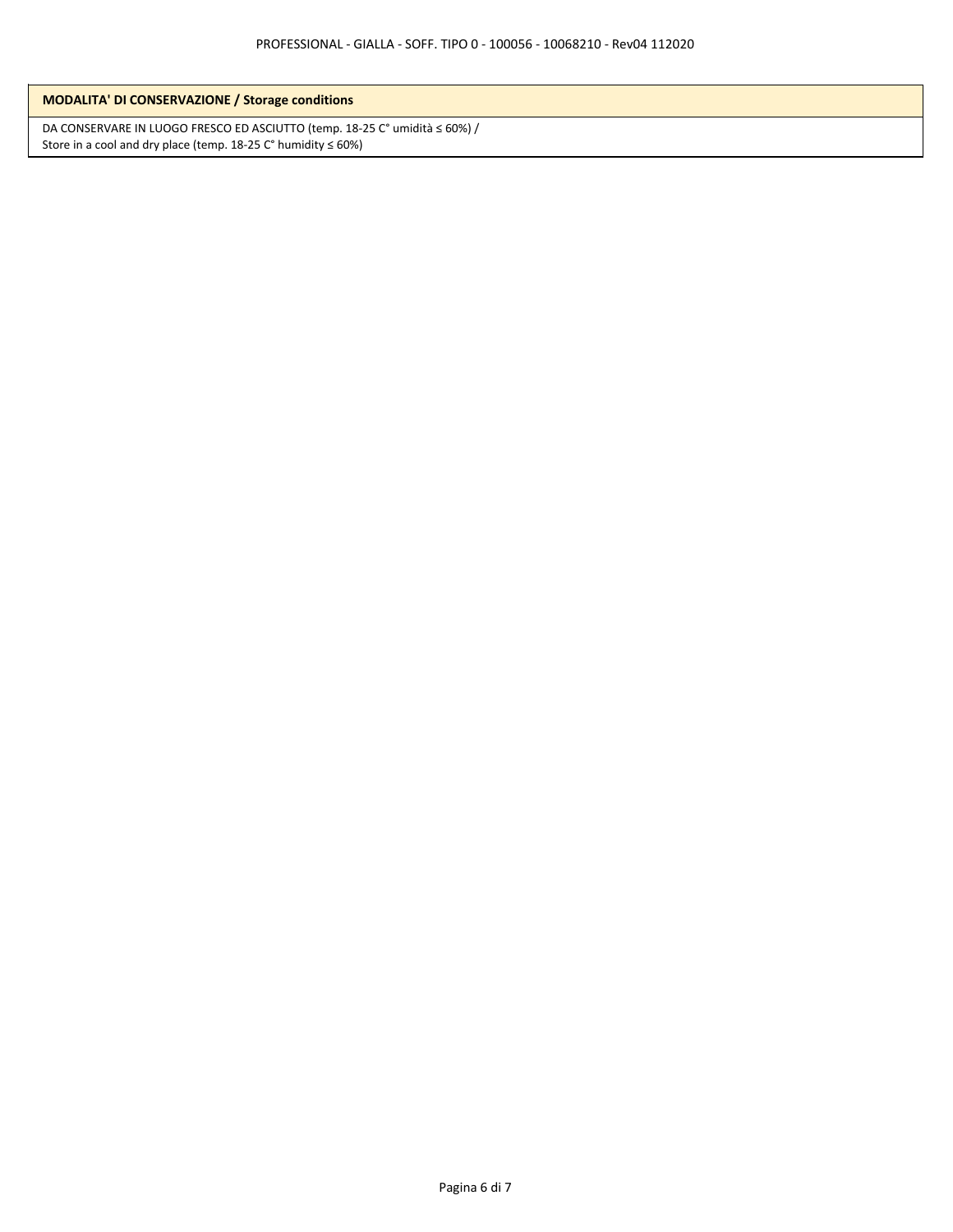| <b>MODALITA' DI CONSERVAZIONE / Storage conditions</b> |  |
|--------------------------------------------------------|--|
|--------------------------------------------------------|--|

DA CONSERVARE IN LUOGO FRESCO ED ASCIUTTO (temp. 18-25 C° umidità ≤ 60%) / Store in a cool and dry place (temp.  $18-25$  C° humidity  $\leq 60\%)$